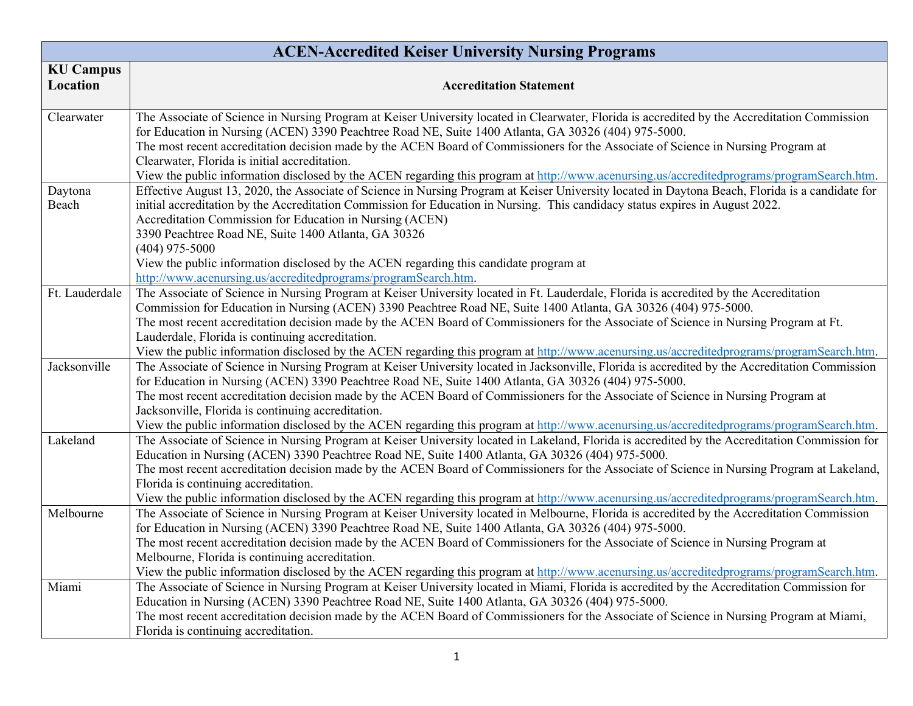| <b>ACEN-Accredited Keiser University Nursing Programs</b> |                                                                                                                                                                                                                                                                                                                                                                                                                                                                                                                                                                                                      |
|-----------------------------------------------------------|------------------------------------------------------------------------------------------------------------------------------------------------------------------------------------------------------------------------------------------------------------------------------------------------------------------------------------------------------------------------------------------------------------------------------------------------------------------------------------------------------------------------------------------------------------------------------------------------------|
| <b>KU Campus</b><br>Location                              | <b>Accreditation Statement</b>                                                                                                                                                                                                                                                                                                                                                                                                                                                                                                                                                                       |
| Clearwater                                                | The Associate of Science in Nursing Program at Keiser University located in Clearwater, Florida is accredited by the Accreditation Commission<br>for Education in Nursing (ACEN) 3390 Peachtree Road NE, Suite 1400 Atlanta, GA 30326 (404) 975-5000.<br>The most recent accreditation decision made by the ACEN Board of Commissioners for the Associate of Science in Nursing Program at<br>Clearwater, Florida is initial accreditation.<br>View the public information disclosed by the ACEN regarding this program at http://www.acenursing.us/accreditedprograms/programSearch.htm.            |
| Daytona<br>Beach                                          | Effective August 13, 2020, the Associate of Science in Nursing Program at Keiser University located in Daytona Beach, Florida is a candidate for<br>initial accreditation by the Accreditation Commission for Education in Nursing. This candidacy status expires in August 2022.<br>Accreditation Commission for Education in Nursing (ACEN)<br>3390 Peachtree Road NE, Suite 1400 Atlanta, GA 30326<br>$(404)$ 975-5000<br>View the public information disclosed by the ACEN regarding this candidate program at                                                                                   |
|                                                           | http://www.acenursing.us/accreditedprograms/programSearch.htm.                                                                                                                                                                                                                                                                                                                                                                                                                                                                                                                                       |
| Ft. Lauderdale                                            | The Associate of Science in Nursing Program at Keiser University located in Ft. Lauderdale, Florida is accredited by the Accreditation<br>Commission for Education in Nursing (ACEN) 3390 Peachtree Road NE, Suite 1400 Atlanta, GA 30326 (404) 975-5000.<br>The most recent accreditation decision made by the ACEN Board of Commissioners for the Associate of Science in Nursing Program at Ft.<br>Lauderdale, Florida is continuing accreditation.<br>View the public information disclosed by the ACEN regarding this program at http://www.acenursing.us/accreditedprograms/programSearch.htm. |
| Jacksonville                                              | The Associate of Science in Nursing Program at Keiser University located in Jacksonville, Florida is accredited by the Accreditation Commission<br>for Education in Nursing (ACEN) 3390 Peachtree Road NE, Suite 1400 Atlanta, GA 30326 (404) 975-5000.<br>The most recent accreditation decision made by the ACEN Board of Commissioners for the Associate of Science in Nursing Program at<br>Jacksonville, Florida is continuing accreditation.<br>View the public information disclosed by the ACEN regarding this program at http://www.acenursing.us/accreditedprograms/programSearch.htm.     |
| Lakeland                                                  | The Associate of Science in Nursing Program at Keiser University located in Lakeland, Florida is accredited by the Accreditation Commission for<br>Education in Nursing (ACEN) 3390 Peachtree Road NE, Suite 1400 Atlanta, GA 30326 (404) 975-5000.<br>The most recent accreditation decision made by the ACEN Board of Commissioners for the Associate of Science in Nursing Program at Lakeland,<br>Florida is continuing accreditation.<br>View the public information disclosed by the ACEN regarding this program at http://www.acenursing.us/accreditedprograms/programSearch.htm.             |
| Melbourne                                                 | The Associate of Science in Nursing Program at Keiser University located in Melbourne, Florida is accredited by the Accreditation Commission<br>for Education in Nursing (ACEN) 3390 Peachtree Road NE, Suite 1400 Atlanta, GA 30326 (404) 975-5000.<br>The most recent accreditation decision made by the ACEN Board of Commissioners for the Associate of Science in Nursing Program at<br>Melbourne, Florida is continuing accreditation.<br>View the public information disclosed by the ACEN regarding this program at http://www.acenursing.us/accreditedprograms/programSearch.htm.           |
| Miami                                                     | The Associate of Science in Nursing Program at Keiser University located in Miami, Florida is accredited by the Accreditation Commission for<br>Education in Nursing (ACEN) 3390 Peachtree Road NE, Suite 1400 Atlanta, GA 30326 (404) 975-5000.<br>The most recent accreditation decision made by the ACEN Board of Commissioners for the Associate of Science in Nursing Program at Miami,<br>Florida is continuing accreditation.                                                                                                                                                                 |